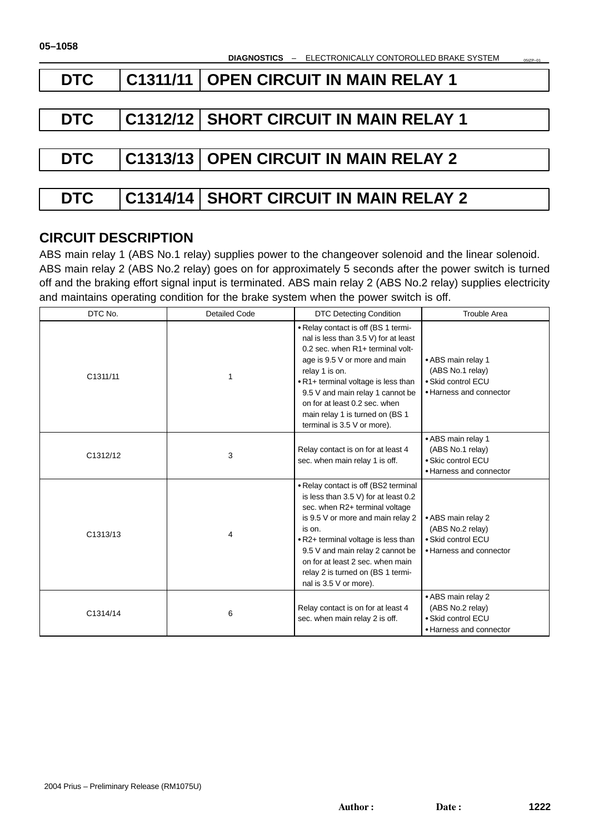**DIAGNOSTICS** – ELECTRONICALLY CONTOROLLED BRAKE SYSTEM

| <b>DTC</b> | C1311/11   OPEN CIRCUIT IN MAIN RELAY 1      |
|------------|----------------------------------------------|
|            |                                              |
| <b>DTC</b> | C1312/12   SHORT CIRCUIT IN MAIN RELAY 1     |
|            |                                              |
| <b>DTC</b> | <b>C1313/13 OPEN CIRCUIT IN MAIN RELAY 2</b> |
|            |                                              |
| <b>DTC</b> | C1314/14   SHORT CIRCUIT IN MAIN RELAY 2     |

# **CIRCUIT DESCRIPTION**

ABS main relay 1 (ABS No.1 relay) supplies power to the changeover solenoid and the linear solenoid. ABS main relay 2 (ABS No.2 relay) goes on for approximately 5 seconds after the power switch is turned off and the braking effort signal input is terminated. ABS main relay 2 (ABS No.2 relay) supplies electricity and maintains operating condition for the brake system when the power switch is off.

| DTC No.  | <b>Detailed Code</b> | <b>DTC Detecting Condition</b>                                                                                                                                                                                                                                                                                                                   | <b>Trouble Area</b>                                                                     |
|----------|----------------------|--------------------------------------------------------------------------------------------------------------------------------------------------------------------------------------------------------------------------------------------------------------------------------------------------------------------------------------------------|-----------------------------------------------------------------------------------------|
| C1311/11 |                      | • Relay contact is off (BS 1 termi-<br>nal is less than 3.5 V) for at least<br>0.2 sec. when R1+ terminal volt-<br>age is 9.5 V or more and main<br>relay 1 is on.<br>• R1+ terminal voltage is less than<br>9.5 V and main relay 1 cannot be<br>on for at least 0.2 sec. when<br>main relay 1 is turned on (BS 1<br>terminal is 3.5 V or more). | • ABS main relay 1<br>(ABS No.1 relay)<br>• Skid control ECU<br>• Harness and connector |
| C1312/12 | 3                    | Relay contact is on for at least 4<br>sec. when main relay 1 is off.                                                                                                                                                                                                                                                                             | • ABS main relay 1<br>(ABS No.1 relay)<br>• Skic control ECU<br>• Harness and connector |
| C1313/13 | 4                    | • Relay contact is off (BS2 terminal<br>is less than 3.5 V) for at least 0.2<br>sec. when R2+ terminal voltage<br>is 9.5 V or more and main relay 2<br>is on.<br>. R2+ terminal voltage is less than<br>9.5 V and main relay 2 cannot be<br>on for at least 2 sec. when main<br>relay 2 is turned on (BS 1 termi-<br>nal is 3.5 V or more).      | • ABS main relay 2<br>(ABS No.2 relay)<br>• Skid control ECU<br>• Harness and connector |
| C1314/14 | 6                    | Relay contact is on for at least 4<br>sec. when main relay 2 is off.                                                                                                                                                                                                                                                                             | • ABS main relay 2<br>(ABS No.2 relay)<br>• Skid control ECU<br>• Harness and connector |

05IZP–01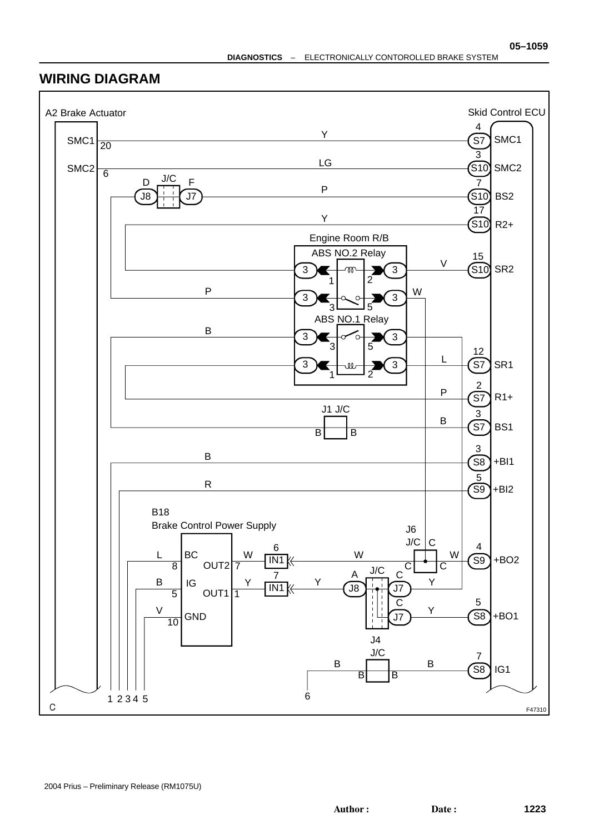## **WIRING DIAGRAM**

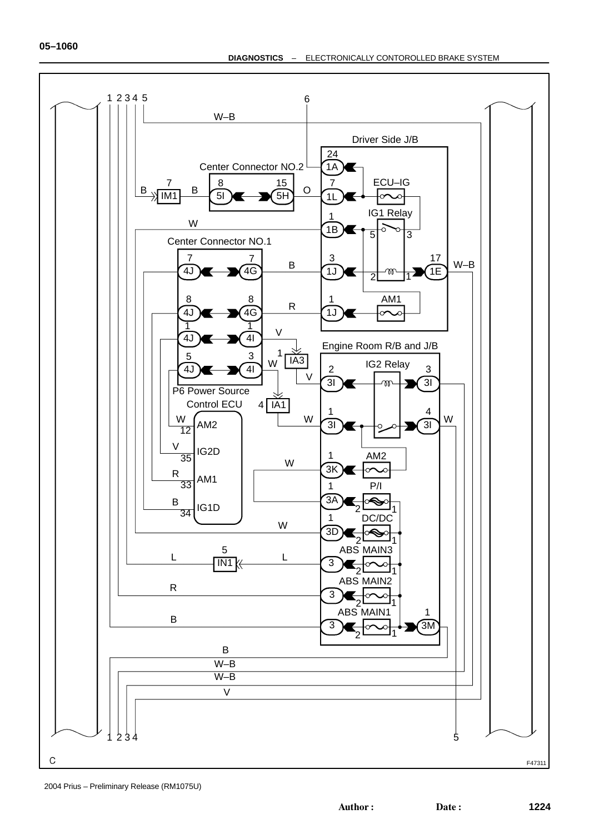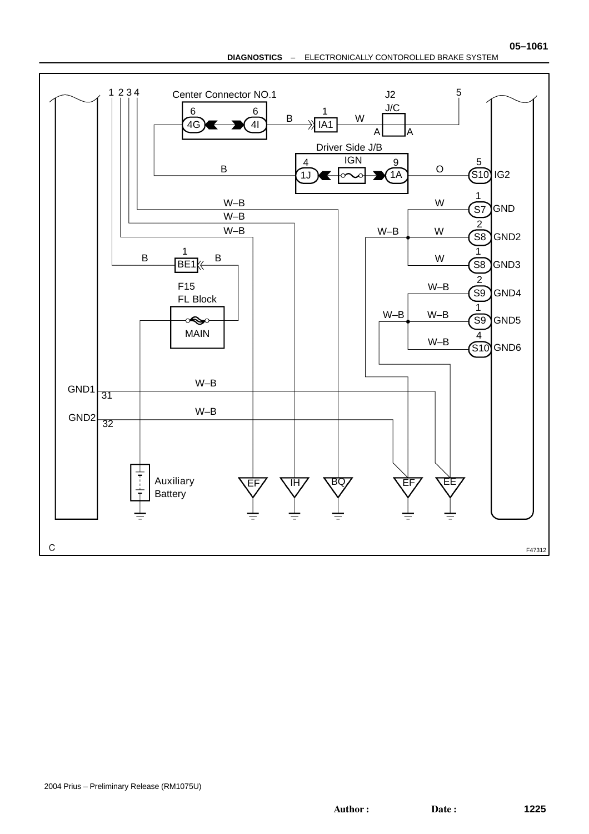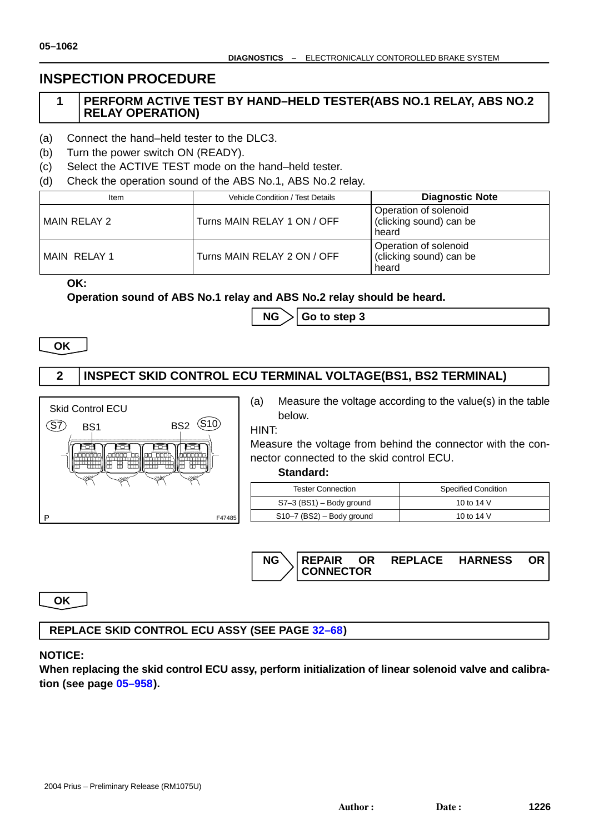# **INSPECTION PROCEDURE**

## **1 PERFORM ACTIVE TEST BY HAND–HELD TESTER(ABS NO.1 RELAY, ABS NO.2 RELAY OPERATION)**

- (a) Connect the hand–held tester to the DLC3.
- (b) Turn the power switch ON (READY).
- (c) Select the ACTIVE TEST mode on the hand–held tester.
- (d) Check the operation sound of the ABS No.1, ABS No.2 relay.

| Item         | Vehicle Condition / Test Details | <b>Diagnostic Note</b>                                    |
|--------------|----------------------------------|-----------------------------------------------------------|
| MAIN RELAY 2 | Turns MAIN RELAY 1 ON / OFF      | Operation of solenoid<br>(clicking sound) can be<br>heard |
| MAIN RELAY 1 | Turns MAIN RELAY 2 ON / OFF      | Operation of solenoid<br>(clicking sound) can be<br>heard |

**OK:**

#### **Operation sound of ABS No.1 relay and ABS No.2 relay should be heard.**

 $N$ **G**  $\geq$  **Go to step 3** 

**OK**

## **2 INSPECT SKID CONTROL ECU TERMINAL VOLT[AG](#page-5-0)E(BS1, BS2 TERMINAL)**



(a) Measure the voltage according to the value(s) in the table below.

HINT:

Measure the voltage from behind the connector with the connector connected to the skid control ECU.

#### **Standard:**

| <b>Tester Connection</b>    | <b>Specified Condition</b> |
|-----------------------------|----------------------------|
| $S7-3$ (BS1) – Body ground  | 10 to 14 V                 |
| $S10-7$ (BS2) – Body ground | 10 to 14 V                 |



**OK**

## **REPLACE SKID CONTROL ECU ASSY (SEE PAGE 32–68)**

## **NOTICE:**

**When replacing the skid control ECU assy, perform initialization of linear solenoid valve and calibration (see page 05–958).**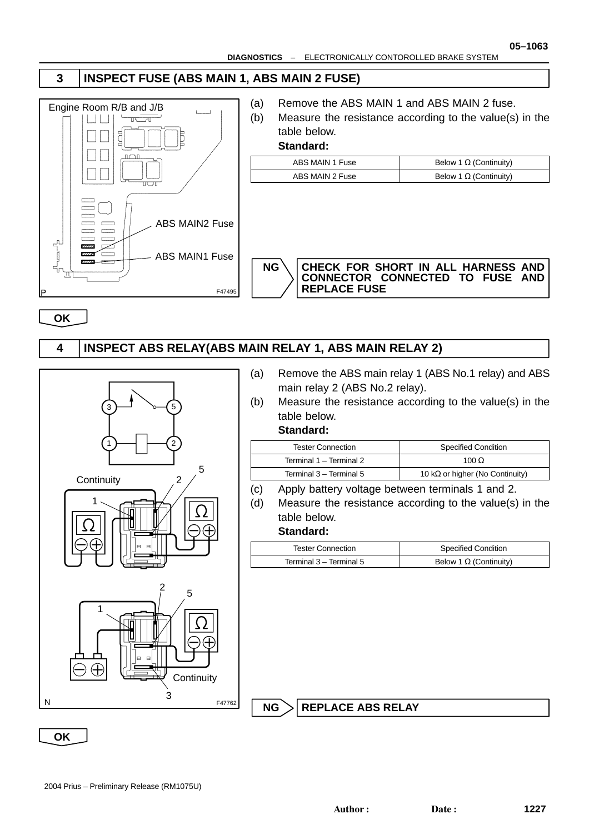# <span id="page-5-0"></span>**3 INSPECT FUSE (ABS MAIN 1, ABS MAIN 2 FUSE)**



- (a) Remove the ABS MAIN 1 and ABS MAIN 2 fuse.
- (b) Measure the resistance according to the value(s) in the table below.

### **Standard:**

| ABS MAIN 1 Fuse | Below 1 $\Omega$ (Continuity) |
|-----------------|-------------------------------|
| ABS MAIN 2 Fuse | Below 1 $\Omega$ (Continuity) |



**NG CHECK FOR SHORT IN ALL HARNESS AND CONNECTOR CONNECTED TO FUSE AND REPLACE FUSE**

**OK**

# **4 INSPECT ABS RELAY(ABS MAIN RELAY 1, ABS MAIN RELAY 2)**



- (a) Remove the ABS main relay 1 (ABS No.1 relay) and ABS main relay 2 (ABS No.2 relay).
- (b) Measure the resistance according to the value(s) in the table below.

### **Standard:**

| <b>Tester Connection</b> | <b>Specified Condition</b>              |
|--------------------------|-----------------------------------------|
| Terminal 1 - Terminal 2  | 100 $\Omega$                            |
| Terminal 3 - Terminal 5  | 10 k $\Omega$ or higher (No Continuity) |

- (c) Apply battery voltage between terminals 1 and 2.
- (d) Measure the resistance according to the value(s) in the table below.

#### **Standard:**

| Tester Connection       | <b>Specified Condition</b>    |
|-------------------------|-------------------------------|
| Terminal 3 – Terminal 5 | Below 1 $\Omega$ (Continuity) |

**NG > REPLACE ABS RELAY** 

**OK**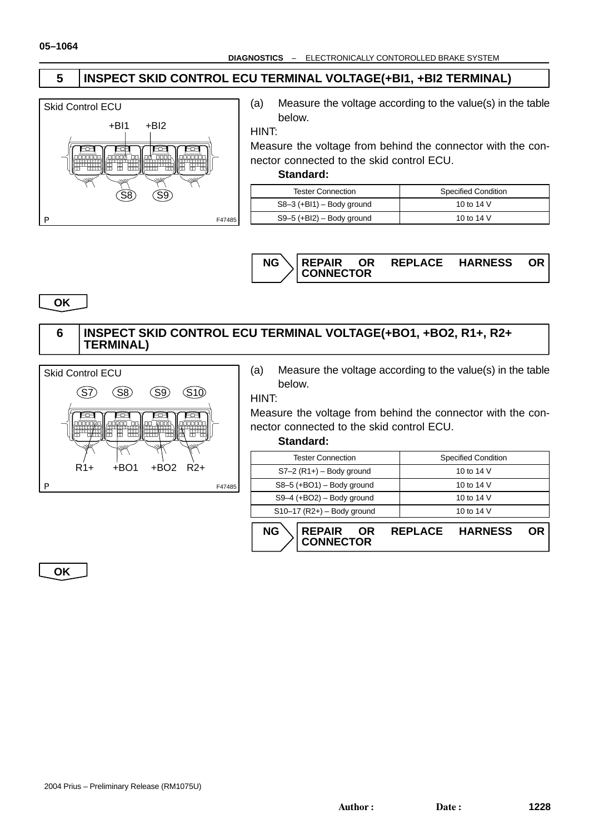# **5 INSPECT SKID CONTROL ECU TERMINAL VOLTAGE(+BI1, +BI2 TERMINAL)**



(a) Measure the voltage according to the value(s) in the table below.

HINT:

Measure the voltage from behind the connector with the connector connected to the skid control ECU.

#### **Standard:**

| <b>Tester Connection</b>    | <b>Specified Condition</b> |
|-----------------------------|----------------------------|
| $S8-3$ (+BI1) – Body ground | 10 to 14 V                 |
| $S9-5$ (+BI2) – Body ground | 10 to 14 V                 |



**OK**

### **6 INSPECT SKID CONTROL ECU TERMINAL VOLTAGE(+BO1, +BO2, R1+, R2+ TERMINAL)**



(a) Measure the voltage according to the value(s) in the table below.

#### HINT:

Measure the voltage from behind the connector with the connector connected to the skid control ECU.

#### **Standard:**

**CONNECTOR**

| NG<br><b>REPAIR</b><br>OR    | <b>HARNESS</b><br><b>REPLACE</b> |  |
|------------------------------|----------------------------------|--|
| $S10-17$ (R2+) - Body ground | 10 to 14 V                       |  |
| $S9-4$ (+BO2) – Body ground  | 10 to 14 V                       |  |
| $S8-5$ (+BO1) - Body ground  | 10 to 14 V                       |  |
| $S7-2(R1+)$ – Body ground    | 10 to 14 V                       |  |
| <b>Tester Connection</b>     | <b>Specified Condition</b>       |  |

**OK**